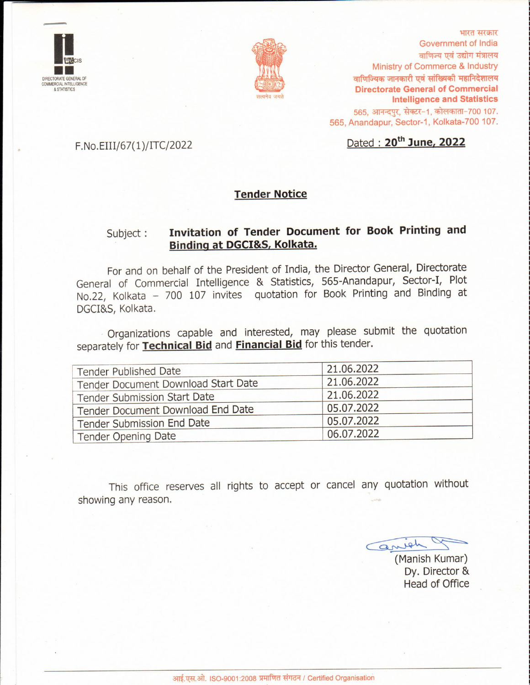



भारत सरकार Government of India वाणिज्य एवं उद्योग मंत्रालय Ministry of Commerce & Industry वाणिज्यिक जानकारी एवं सांख्यिकी महानिदेशालय **Directorate General of Commercial Intelligence and Statistics** 565, आनन्दपुर, सेक्टर-1, कोलकाता-700 107. 565, Anandapur, Sector-1, Kolkata-700 107.

#### F.No.EIII/67(1)/ITC/2022

## Dated: 20<sup>th</sup> June, 2022

#### **Tender Notice**

#### Invitation of Tender Document for Book Printing and Subject: Binding at DGCI&S, Kolkata.

For and on behalf of the President of India, the Director General, Directorate General of Commercial Intelligence & Statistics, 565-Anandapur, Sector-I, Plot No.22, Kolkata - 700 107 invites quotation for Book Printing and Binding at DGCI&S, Kolkata.

Organizations capable and interested, may please submit the quotation separately for Technical Bid and Financial Bid for this tender.

| <b>Tender Published Date</b>        | 21.06.2022 |  |  |
|-------------------------------------|------------|--|--|
| Tender Document Download Start Date | 21.06.2022 |  |  |
| <b>Tender Submission Start Date</b> | 21.06.2022 |  |  |
| Tender Document Download End Date   | 05.07.2022 |  |  |
| Tender Submission End Date          | 05.07.2022 |  |  |
| Tender Opening Date                 | 06.07.2022 |  |  |

This office reserves all rights to accept or cancel any quotation without showing any reason.

arrigh

(Manish Kumar) Dy. Director & **Head of Office**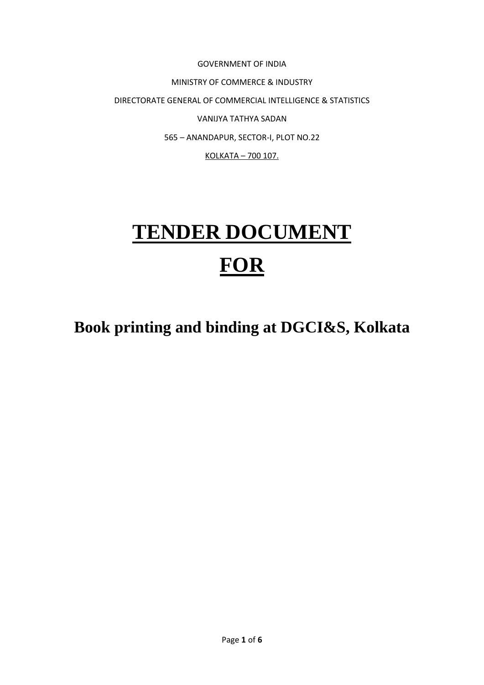GOVERNMENT OF INDIA MINISTRY OF COMMERCE & INDUSTRY DIRECTORATE GENERAL OF COMMERCIAL INTELLIGENCE & STATISTICS VANIJYA TATHYA SADAN 565 – ANANDAPUR, SECTOR-I, PLOT NO.22 KOLKATA – 700 107.

# **TENDER DOCUMENT FOR**

**Book printing and binding at DGCI&S, Kolkata**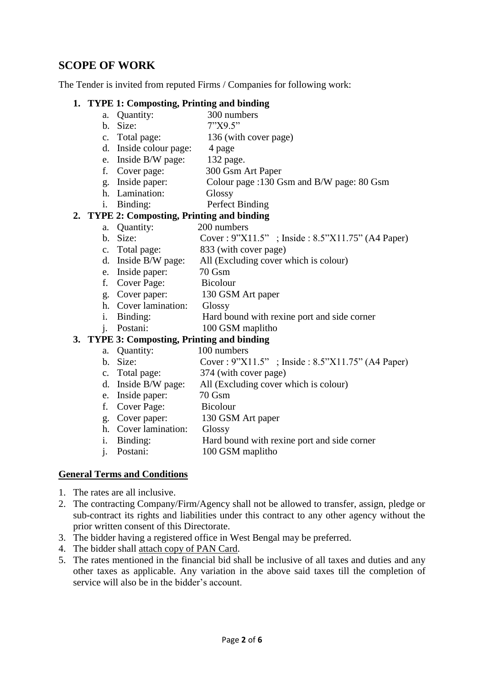#### **SCOPE OF WORK**

The Tender is invited from reputed Firms / Companies for following work:

#### **1. TYPE 1: Composting, Printing and binding**

- a. Quantity: 300 numbers
- b. Size: 7"X9.5"
- c. Total page: 136 (with cover page)
	- d. Inside colour page: 4 page
	- e. Inside B/W page: 132 page.
- f. Cover page: 300 Gsm Art Paper
- g. Inside paper: Colour page :130 Gsm and B/W page: 80 Gsm
- h. Lamination: Glossy
- i. Binding: Perfect Binding

#### **2. TYPE 2: Composting, Printing and binding**

- a. Quantity: 200 numbers
- b. Size: Cover : 9"X11.5" ; Inside : 8.5"X11.75" (A4 Paper)
- c. Total page: 833 (with cover page)
- d. Inside B/W page: All (Excluding cover which is colour)
- e. Inside paper: 70 Gsm
- f. Cover Page: Bicolour
- g. Cover paper: 130 GSM Art paper
- h. Cover lamination: Glossy
- i. Binding: Hard bound with rexine port and side corner
- j. Postani: 100 GSM maplitho

#### **3. TYPE 3: Composting, Printing and binding**

- a. Quantity: 100 numbers
- b. Size: Cover : 9"X11.5" ; Inside : 8.5"X11.75" (A4 Paper)
- c. Total page: 374 (with cover page)
- d. Inside B/W page: All (Excluding cover which is colour)
- e. Inside paper: 70 Gsm
- f. Cover Page: Bicolour
- g. Cover paper: 130 GSM Art paper
- h. Cover lamination: Glossy
- i. Binding: Hard bound with rexine port and side corner
- j. Postani: 100 GSM maplitho

#### **General Terms and Conditions**

- 1. The rates are all inclusive.
- 2. The contracting Company/Firm/Agency shall not be allowed to transfer, assign, pledge or sub-contract its rights and liabilities under this contract to any other agency without the prior written consent of this Directorate.
- 3. The bidder having a registered office in West Bengal may be preferred.
- 4. The bidder shall attach copy of PAN Card.
- 5. The rates mentioned in the financial bid shall be inclusive of all taxes and duties and any other taxes as applicable. Any variation in the above said taxes till the completion of service will also be in the bidder's account.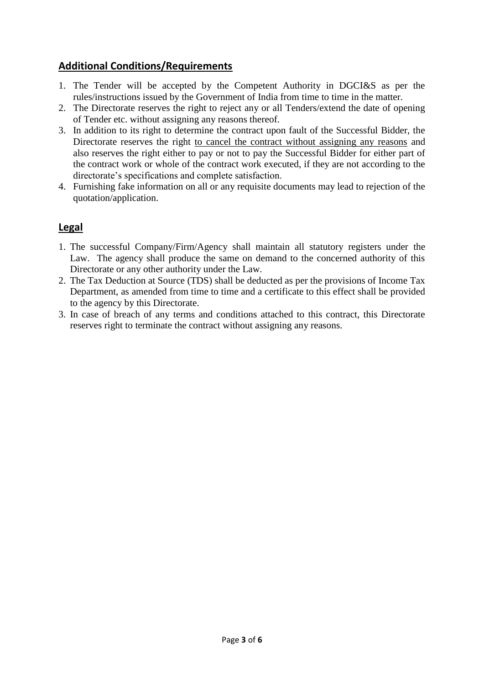#### **Additional Conditions/Requirements**

- 1. The Tender will be accepted by the Competent Authority in DGCI&S as per the rules/instructions issued by the Government of India from time to time in the matter.
- 2. The Directorate reserves the right to reject any or all Tenders/extend the date of opening of Tender etc. without assigning any reasons thereof.
- 3. In addition to its right to determine the contract upon fault of the Successful Bidder, the Directorate reserves the right to cancel the contract without assigning any reasons and also reserves the right either to pay or not to pay the Successful Bidder for either part of the contract work or whole of the contract work executed, if they are not according to the directorate's specifications and complete satisfaction.
- 4. Furnishing fake information on all or any requisite documents may lead to rejection of the quotation/application.

## **Legal**

- 1. The successful Company/Firm/Agency shall maintain all statutory registers under the Law. The agency shall produce the same on demand to the concerned authority of this Directorate or any other authority under the Law.
- 2. The Tax Deduction at Source (TDS) shall be deducted as per the provisions of Income Tax Department, as amended from time to time and a certificate to this effect shall be provided to the agency by this Directorate.
- 3. In case of breach of any terms and conditions attached to this contract, this Directorate reserves right to terminate the contract without assigning any reasons.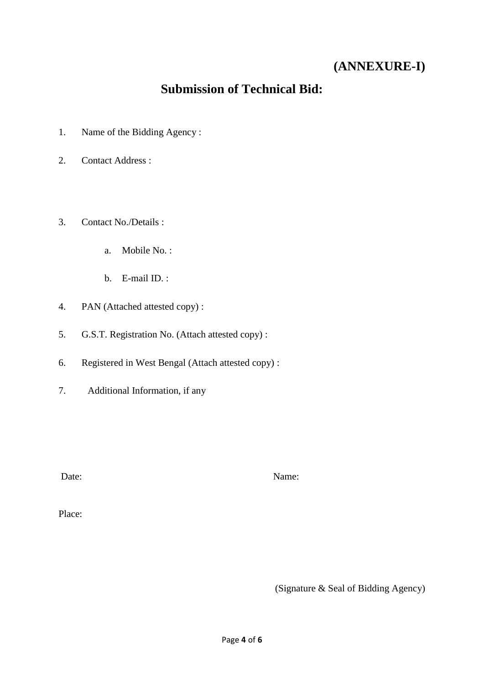## **(ANNEXURE-I)**

## **Submission of Technical Bid:**

- 1. Name of the Bidding Agency :
- 2. Contact Address :
- 3. Contact No./Details :
	- a. Mobile No. :
	- b. E-mail ID. :
- 4. PAN (Attached attested copy) :
- 5. G.S.T. Registration No. (Attach attested copy) :
- 6. Registered in West Bengal (Attach attested copy) :
- 7. Additional Information, if any

Date: Name:

Place:

(Signature & Seal of Bidding Agency)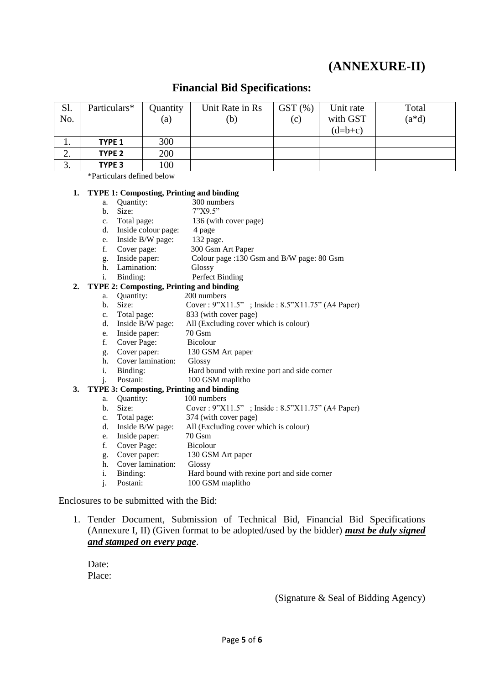## **(ANNEXURE-II)**

#### **Financial Bid Specifications:**

| Sl.          | Particulars*      | Quantity          | Unit Rate in Rs | $GST$ $%$ | Unit rate | Total     |
|--------------|-------------------|-------------------|-----------------|-----------|-----------|-----------|
| No.          |                   | $\left( a\right)$ | (b)             | (c)       | with GST  | $(a * d)$ |
|              |                   |                   |                 |           | $(d=b+c)$ |           |
| . .          | <b>TYPE 1</b>     | 300               |                 |           |           |           |
| ◠<br>∠.      | TYPE <sub>2</sub> | 200               |                 |           |           |           |
| $\sim$<br>J. | TYPE 3            | 100               |                 |           |           |           |

\*Particulars defined below

## **1. TYPE 1: Composting, Printing and binding**

- a. Quantity:
- b. Size: 7"X9.5"
- c. Total page: 136 (with cover page)
- d. Inside colour page: 4 page
- e. Inside B/W page: 132 page.
- f. Cover page: 300 Gsm Art Paper
- g. Inside paper: Colour page :130 Gsm and B/W page: 80 Gsm
- h. Lamination: Glossy
- i. Binding: Perfect Binding

#### **2. TYPE 2: Composting, Printing and binding**

- a. Quantity: 200 numbers
- b. Size: Cover : 9"X11.5" ; Inside : 8.5"X11.75" (A4 Paper)
- 
- c. Total page: 833 (with cover page)<br>d. Inside B/W page: All (Excluding cover v All (Excluding cover which is colour)
- e. Inside paper: 70 Gsm
- f. Cover Page: Bicolour
- g. Cover paper: 130 GSM Art paper
- h. Cover lamination: Glossy
- i. Binding: Hard bound with rexine port and side corner
- j. Postani: 100 GSM maplitho

# **3. TYPE 3: Composting, Printing and binding**

- a. **Quantity:**
- b. Size: Cover : 9"X11.5" ; Inside : 8.5"X11.75" (A4 Paper)
- c. Total page: 374 (with cover page)
- d. Inside B/W page: All (Excluding cover which is colour)
- e. Inside paper: 70 Gsm
- f. Cover Page: Bicolour
- g. Cover paper: 130 GSM Art paper
- h. Cover lamination: Glossy
- i. Binding: Hard bound with rexine port and side corner
- j. Postani: 100 GSM maplitho

Enclosures to be submitted with the Bid:

1. Tender Document, Submission of Technical Bid, Financial Bid Specifications (Annexure I, II) (Given format to be adopted/used by the bidder) *must be duly signed and stamped on every page*.

Date: Place:

(Signature & Seal of Bidding Agency)